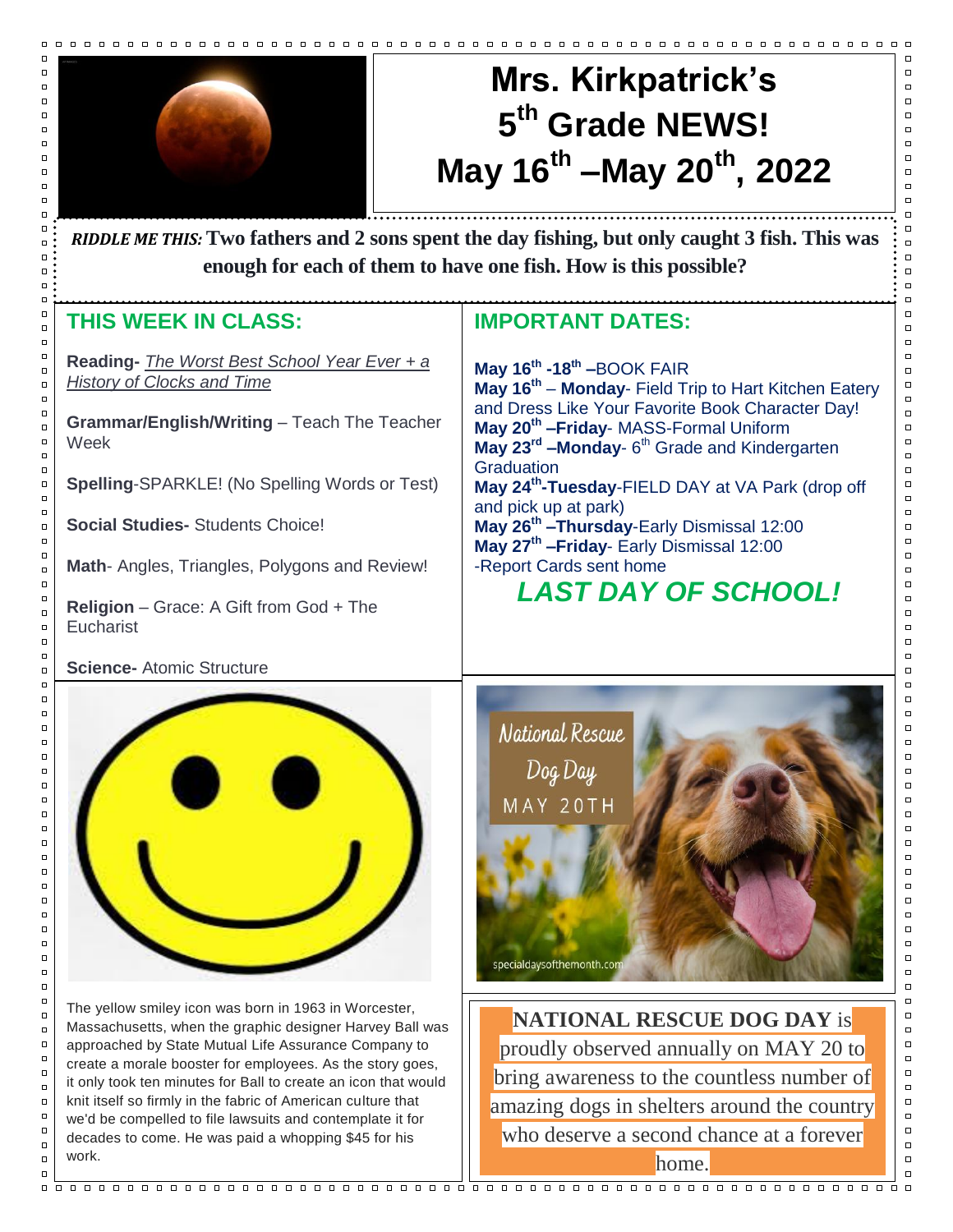

 $\Box$  $\Box$ 

 $\Box$  $\Box$ 

 $\Box$ 

 $\Box$  $\Box$ 

 $\Box$ 

 $\Box$ 

 $\Box$  $\Box$  $\Box$  $\Box$ 

 $\Box$ 

 $\Box$ 

 $\Box$ 

 $\Box$  $\Box$ 

 $\Box$ 

 $\Box$ 

 $\Box$  $\overline{a}$ 

 $\Box$ 

 $\Box$ 

 $\Box$ 

 $\Box$ 

 $\Box$  $\Box$ 

 $\Box$ 

 $\Box$ 

 $\Box$  $\Box$ 

 $\Box$ 

 $\Box$ 

 $\Box$ 

 $\Box$ 

 $\Box$  $\Box$ 

 $\Box$ 

 $\Box$  $\Box$  $\Box$  $\Box$  $\Box$ 

 $\Box$  $\Box$  $\Box$ 

 $\Box$  $\Box$  $\Box$  $\Box$  $\Box$  $\Box$  $\Box$  $\Box$  $\Box$  $\Box$  $\Box$ 

 $\Box$ 

 $\Box$ 

 $\Box$ 

 $\Box$  $\Box$  $\Box$  $\Box$  $\Box$ 

 $\Box$ 

 $\Box$ 

 $\Box$ 

 $\Box$ 

 $\Box$ 

 $\Box$ 

 $\Box$ 

 $\Box$ 

 $\Box$ 

 $\Box$ 

# **Mrs. Kirkpatrick's 5 th Grade NEWS! May 16th –May 20th , 2022**

 $\Box$ 

 $\Box$ 

 $\Box$  $\Box$ 

 $\Box$ 

 $\Box$ 

 $\Box$ 

 $\Box$ 

 $\Box$ 

 $\Box$ 

 $\Box$  $\Box$  $\Box$ 

 $\Box$ 

 $\Box$  $\Box$ 

 $\Box$ 

 $\Box$ 

 $\Box$ 

 $\Box$ 

 $\Box$ 

 $\Box$  $\Box$ 

 $\Box$ 

 $\Box$  $\Box$ 

 $\Box$ 

 $\Box$ 

 $\Box$ 

 $\Box$ 

 $\Box$ 

 $\Box$  $\Box$ 

 $\Box$ 

 $\Box$ 

 $\Box$ 

 $\Box$ 

 $\Box$ 

 $\Box$ 

 $\Box$ 

 $\Box$ 

 $\Box$ 

 $\Box$ 

 $\Box$ 

 $\Box$ 

 $\Box$ 

 $\Box$ 

 $\Box$ 

**0 enough for each of them to have one fish. How is this possible?** *RIDDLE ME THIS:* **Two fathers and 2 sons spent the day fishing, but only caught 3 fish. This was** 

#### **THIS WEEK IN CLASS:**

and Dress **Reading-** *The Worst Best School Year Ever + a History of Clocks and Time*

**Grammar/English/Writing** – Teach The Teacher Week

**Spelling**-SPARKLE! (No Spelling Words or Test)

**Social Studies-** Students Choice!

**Math**- Angles, Triangles, Polygons and Review!

**Religion** – Grace: A Gift from God + The **Eucharist** 

#### **Science-** Atomic Structure



The yellow smiley icon was born in 1963 in Worcester, Massachusetts, when the graphic designer Harvey Ball was approached by State Mutual Life Assurance Company to create a morale booster for employees. As the story goes, it only took ten minutes for Ball to create an icon that would knit itself so firmly in the fabric of American culture that we'd be compelled to file lawsuits and contemplate it for decades to come. He was paid a whopping \$45 for his work.

### **IMPORTANT DATES:**

**May 16th -18th –**BOOK FAIR **May 16th** – **Monday**- Field Trip to Hart Kitchen Eatery and Dress Like Your Favorite Book Character Day! **May 20th –Friday**- MASS-Formal Uniform **May 23rd –Monday**- 6 th Grade and Kindergarten **Graduation May 24th -Tuesday**-FIELD DAY at VA Park (drop off and pick up at park) **May 26th –Thursday**-Early Dismissal 12:00 **May 27th –Friday**- Early Dismissal 12:00 -Report Cards sent home

## *LAST DAY OF SCHOOL!*





home.